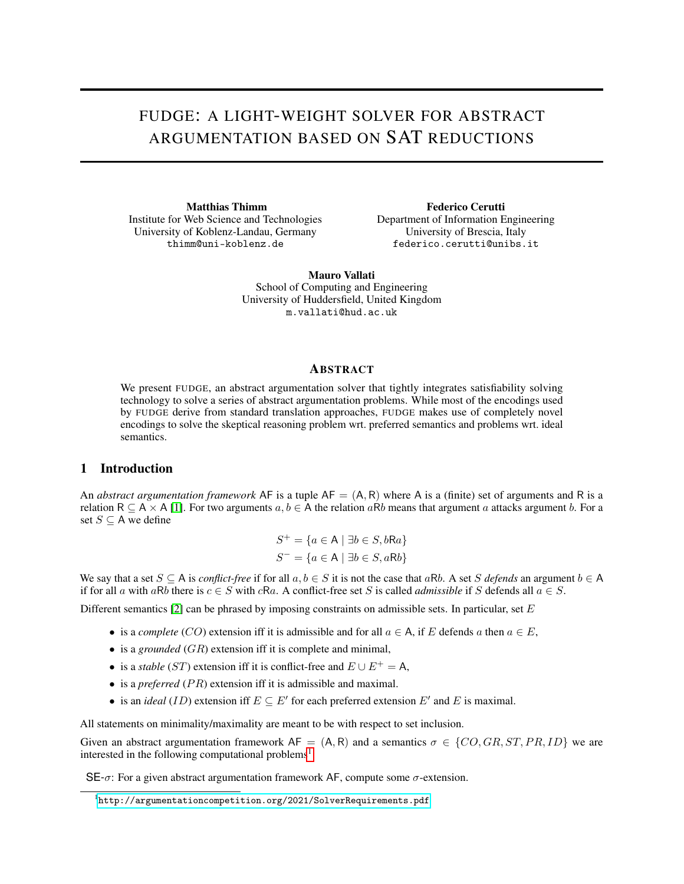# FUDGE: A LIGHT-WEIGHT SOLVER FOR ABSTRACT ARGUMENTATION BASED ON SAT REDUCTIONS

Matthias Thimm Institute for Web Science and Technologies University of Koblenz-Landau, Germany thimm@uni-koblenz.de

Federico Cerutti Department of Information Engineering University of Brescia, Italy federico.cerutti@unibs.it

Mauro Vallati School of Computing and Engineering University of Huddersfield, United Kingdom m.vallati@hud.ac.uk

#### ABSTRACT

We present FUDGE, an abstract argumentation solver that tightly integrates satisfiability solving technology to solve a series of abstract argumentation problems. While most of the encodings used by FUDGE derive from standard translation approaches, FUDGE makes use of completely novel encodings to solve the skeptical reasoning problem wrt. preferred semantics and problems wrt. ideal semantics.

### 1 Introduction

An *abstract argumentation framework* AF is a tuple  $AF = (A, R)$  where A is a (finite) set of arguments and R is a relation R  $\subseteq$  A  $\times$  A [\[1\]](#page-2-0). For two arguments  $a, b \in A$  the relation aRb means that argument a attacks argument b. For a set  $S \subseteq A$  we define

$$
S^+ = \{ a \in \mathsf{A} \mid \exists b \in S, b \mathsf{R} a \}
$$

$$
S^- = \{ a \in \mathsf{A} \mid \exists b \in S, a \mathsf{R} b \}
$$

We say that a set  $S \subseteq A$  is *conflict-free* if for all  $a, b \in S$  it is not the case that aRb. A set S defends an argument  $b \in A$ if for all a with aRb there is  $c \in S$  with cRa. A conflict-free set S is called *admissible* if S defends all  $a \in S$ .

Different semantics  $[2]$  can be phrased by imposing constraints on admissible sets. In particular, set E

- is a *complete* (CO) extension iff it is admissible and for all  $a \in A$ , if E defends a then  $a \in E$ ,
- is a *grounded* (GR) extension iff it is complete and minimal,
- is a *stable* (ST) extension iff it is conflict-free and  $E \cup E^+ = A$ ,
- is a *preferred*  $(PR)$  extension iff it is admissible and maximal.
- is an *ideal* (*ID*) extension iff  $E \subseteq E'$  for each preferred extension  $E'$  and  $E$  is maximal.

All statements on minimality/maximality are meant to be with respect to set inclusion.

Given an abstract argumentation framework  $AF = (A, R)$  and a semantics  $\sigma \in \{CO, GR, ST, PR, ID\}$  we are interested in the following computational problems<sup>[1](#page-0-0)</sup>:

SE- $\sigma$ : For a given abstract argumentation framework AF, compute some  $\sigma$ -extension.

<span id="page-0-0"></span><sup>1</sup> <http://argumentationcompetition.org/2021/SolverRequirements.pdf>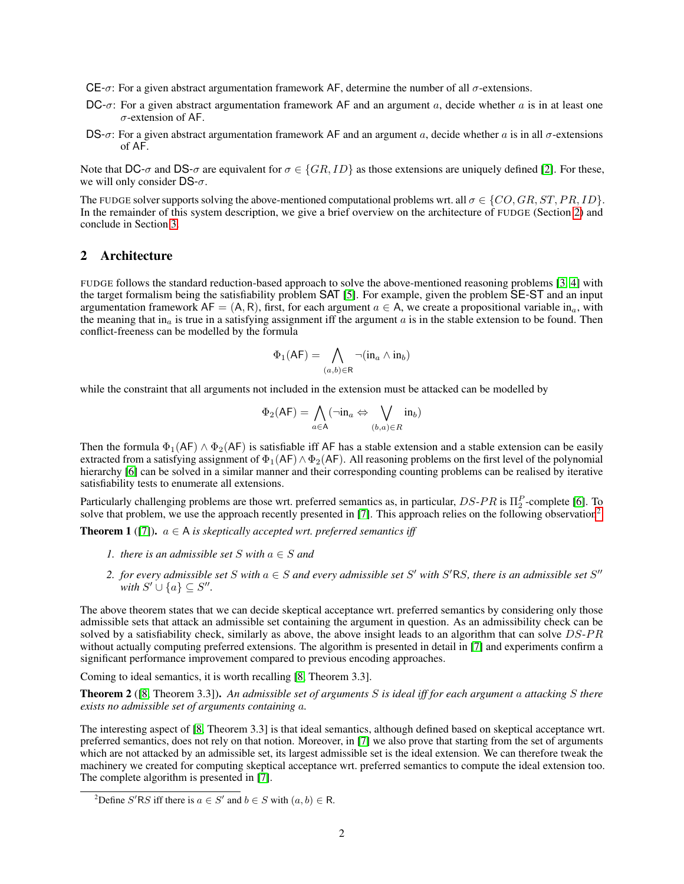- CE- $\sigma$ : For a given abstract argumentation framework AF, determine the number of all  $\sigma$ -extensions.
- $DC-\sigma$ : For a given abstract argumentation framework AF and an argument a, decide whether a is in at least one σ-extension of AF.
- DS- $\sigma$ : For a given abstract argumentation framework AF and an argument a, decide whether a is in all  $\sigma$ -extensions of AF.

Note that DC- $\sigma$  and DS- $\sigma$  are equivalent for  $\sigma \in \{GR, ID\}$  as those extensions are uniquely defined [\[2\]](#page-2-1). For these, we will only consider  $DS-\sigma$ .

The FUDGE solver supports solving the above-mentioned computational problems wrt. all  $\sigma \in \{CO, GR, ST, PR, ID\}$ . In the remainder of this system description, we give a brief overview on the architecture of FUDGE (Section [2\)](#page-1-0) and conclude in Section [3.](#page-2-2)

#### <span id="page-1-0"></span>2 Architecture

FUDGE follows the standard reduction-based approach to solve the above-mentioned reasoning problems [\[3,](#page-2-3) [4\]](#page-2-4) with the target formalism being the satisfiability problem SAT [\[5\]](#page-2-5). For example, given the problem SE-ST and an input argumentation framework AF = (A, R), first, for each argument  $a \in A$ , we create a propositional variable in<sub>a</sub>, with the meaning that in<sub>a</sub> is true in a satisfying assignment iff the argument  $a$  is in the stable extension to be found. Then conflict-freeness can be modelled by the formula

$$
\Phi_1(\mathsf{AF}) = \bigwedge_{(a,b)\in\mathsf{R}} \neg(\text{in}_a \land \text{in}_b)
$$

while the constraint that all arguments not included in the extension must be attacked can be modelled by

$$
\Phi_2(\mathsf{AF}) = \bigwedge_{a \in \mathsf{A}} (\neg \text{in}_a \Leftrightarrow \bigvee_{(b,a) \in R} \text{in}_b)
$$

Then the formula  $\Phi_1(AF) \wedge \Phi_2(AF)$  is satisfiable iff AF has a stable extension and a stable extension can be easily extracted from a satisfying assignment of  $\Phi_1(AF) \wedge \Phi_2(AF)$ . All reasoning problems on the first level of the polynomial hierarchy [\[6\]](#page-2-6) can be solved in a similar manner and their corresponding counting problems can be realised by iterative satisfiability tests to enumerate all extensions.

Particularly challenging problems are those wrt. preferred semantics as, in particular,  $DS$ - $PR$  is  $\Pi_2^P$ -complete [\[6\]](#page-2-6). To solve that problem, we use the approach recently presented in [\[7\]](#page-2-7). This approach relies on the following observation<sup>[2](#page-1-1)</sup>:

**Theorem 1** ([\[7\]](#page-2-7)).  $a \in A$  *is skeptically accepted wrt. preferred semantics iff* 

- *1. there is an admissible set*  $S$  *with*  $a \in S$  *and*
- 2. *for every admissible set* S with  $a \in S$  and every admissible set S' with S'RS, there is an admissible set S'' *with*  $S' \cup \{a\} \subseteq S''$ .

The above theorem states that we can decide skeptical acceptance wrt. preferred semantics by considering only those admissible sets that attack an admissible set containing the argument in question. As an admissibility check can be solved by a satisfiability check, similarly as above, the above insight leads to an algorithm that can solve  $DS-PR$ without actually computing preferred extensions. The algorithm is presented in detail in [\[7\]](#page-2-7) and experiments confirm a significant performance improvement compared to previous encoding approaches.

Coming to ideal semantics, it is worth recalling [\[8,](#page-2-8) Theorem 3.3].

Theorem 2 ([\[8,](#page-2-8) Theorem 3.3]). *An admissible set of arguments* S *is ideal iff for each argument* a *attacking* S *there exists no admissible set of arguments containing* a*.*

The interesting aspect of [\[8,](#page-2-8) Theorem 3.3] is that ideal semantics, although defined based on skeptical acceptance wrt. preferred semantics, does not rely on that notion. Moreover, in [\[7\]](#page-2-7) we also prove that starting from the set of arguments which are not attacked by an admissible set, its largest admissible set is the ideal extension. We can therefore tweak the machinery we created for computing skeptical acceptance wrt. preferred semantics to compute the ideal extension too. The complete algorithm is presented in [\[7\]](#page-2-7).

<span id="page-1-1"></span><sup>&</sup>lt;sup>2</sup>Define S'RS iff there is  $a \in S'$  and  $b \in S$  with  $(a, b) \in R$ .